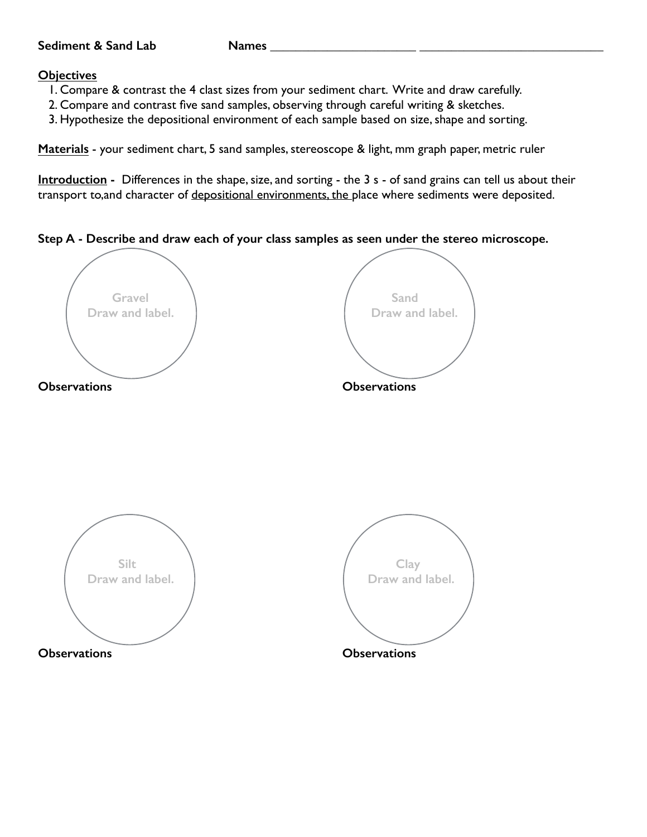## Sediment & Sand Lab Names

## **Objectives**

- 1. Compare & contrast the 4 clast sizes from your sediment chart. Write and draw carefully.
- 2. Compare and contrast five sand samples, observing through careful writing & sketches.
- 3. Hypothesize the depositional environment of each sample based on size, shape and sorting.

**Materials** - your sediment chart, 5 sand samples, stereoscope & light, mm graph paper, metric ruler

**Introduction -** Differences in the shape, size, and sorting - the 3 s - of sand grains can tell us about their transport to, and character of depositional environments, the place where sediments were deposited.

**Step A - Describe and draw each of your class samples as seen under the stereo microscope.** 

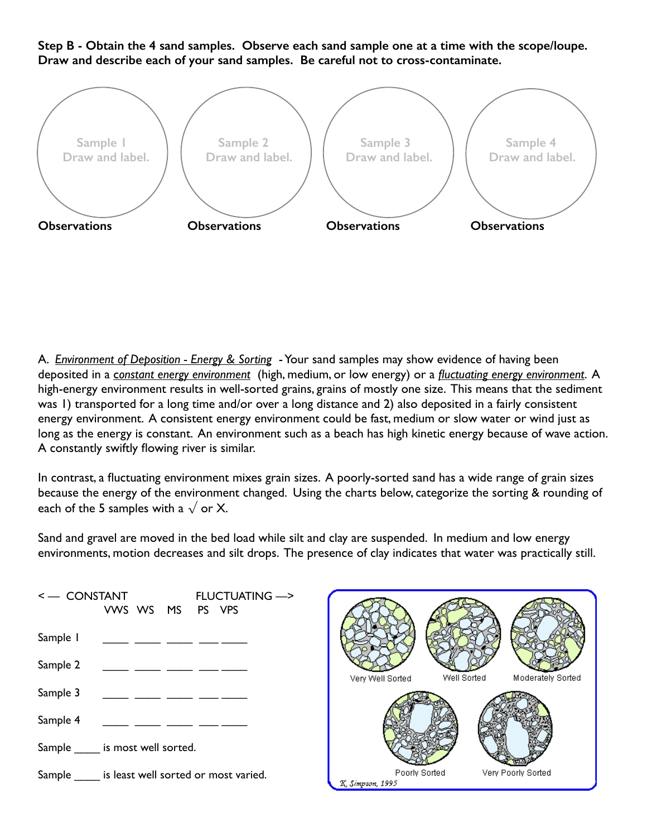**Step B - Obtain the 4 sand samples. Observe each sand sample one at a time with the scope/loupe. Draw and describe each of your sand samples. Be careful not to cross-contaminate.** 



A. *Environment of Deposition - Energy & Sorting* - Your sand samples may show evidence of having been deposited in a c*onstant energy environment* (high, medium, or low energy) or a *fluctuating energy environment*. A high-energy environment results in well-sorted grains, grains of mostly one size. This means that the sediment was 1) transported for a long time and/or over a long distance and 2) also deposited in a fairly consistent energy environment. A consistent energy environment could be fast, medium or slow water or wind just as long as the energy is constant. An environment such as a beach has high kinetic energy because of wave action. A constantly swiftly flowing river is similar.

In contrast, a fluctuating environment mixes grain sizes. A poorly-sorted sand has a wide range of grain sizes because the energy of the environment changed. Using the charts below, categorize the sorting & rounding of each of the 5 samples with a  $\sqrt{}$  or X.

Sand and gravel are moved in the bed load while silt and clay are suspended. In medium and low energy environments, motion decreases and silt drops. The presence of clay indicates that water was practically still.



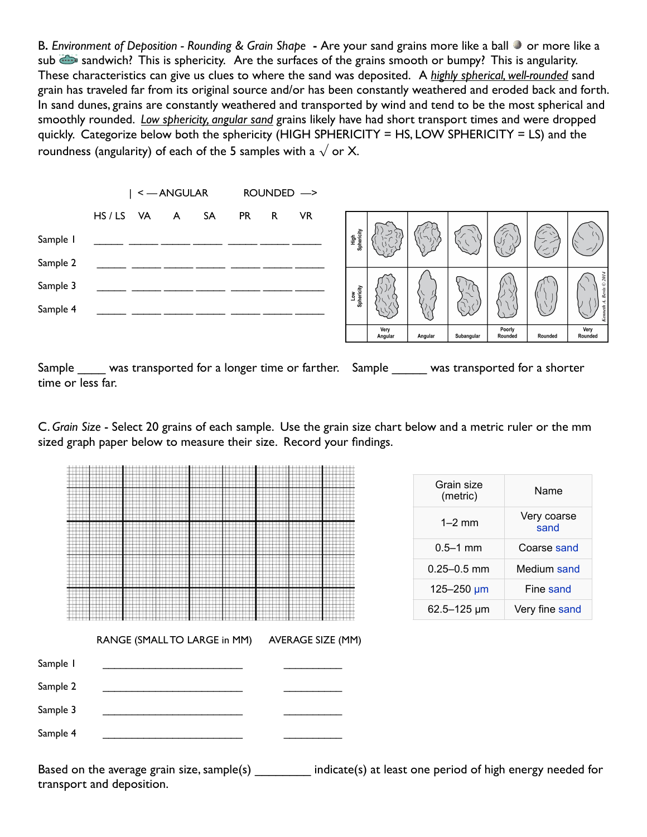B**.** *Environment of Deposition - Rounding & Grain Shape* **-** Are your sand grains more like a ball or more like a sub sandwich? This is sphericity. Are the surfaces of the grains smooth or bumpy? This is angularity. These characteristics can give us clues to where the sand was deposited. A *highly spherical, well-rounded* sand grain has traveled far from its original source and/or has been constantly weathered and eroded back and forth. In sand dunes, grains are constantly weathered and transported by wind and tend to be the most spherical and smoothly rounded. *Low sphericity, angular sand* grains likely have had short transport times and were dropped quickly. Categorize below both the sphericity (HIGH SPHERICITY = HS, LOW SPHERICITY = LS) and the roundness (angularity) of each of the 5 samples with a  $\sqrt{}$  or X.



Sample was transported for a longer time or farther. Sample was transported for a shorter time or less far.

C. *Grain Size* - Select 20 grains of each sample. Use the grain size chart below and a metric ruler or the mm sized graph paper below to measure their size. Record your findings.



Based on the average grain size, sample(s) \_\_\_\_\_\_\_\_ indicate(s) at least one period of high energy needed for transport and deposition.

| Grain size<br>(metric) | Name                |  |
|------------------------|---------------------|--|
| $1 - 2$ mm             | Very coarse<br>sand |  |
| $0.5 - 1$ mm           | Coarse sand         |  |
| $0.25 - 0.5$ mm        | Medium sand         |  |
| 125-250 µm             | Fine sand           |  |
| 62.5-125 µm            | Very fine sand      |  |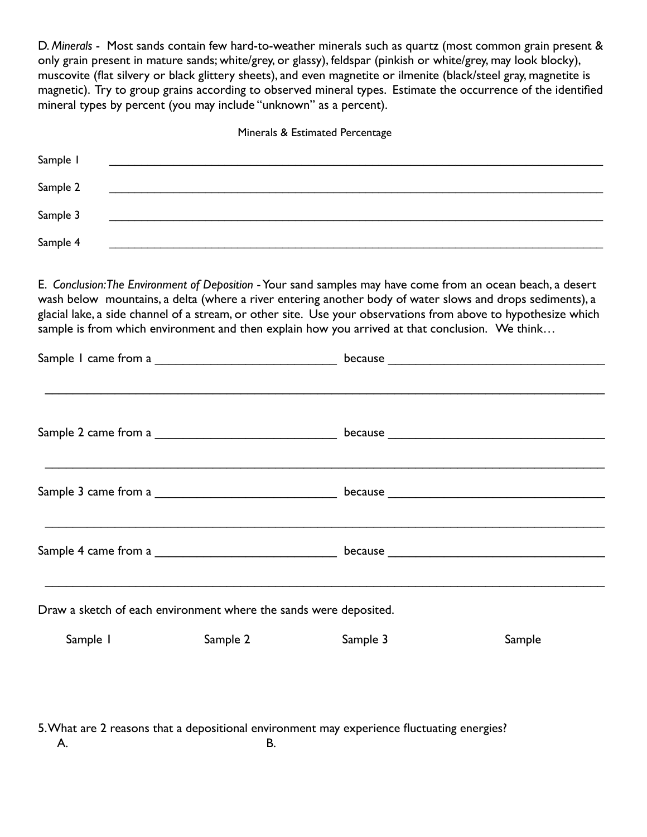D. *Minerals* - Most sands contain few hard-to-weather minerals such as quartz (most common grain present & only grain present in mature sands; white/grey, or glassy), feldspar (pinkish or white/grey, may look blocky), muscovite (flat silvery or black glittery sheets), and even magnetite or ilmenite (black/steel gray, magnetite is magnetic). Try to group grains according to observed mineral types. Estimate the occurrence of the identified mineral types by percent (you may include "unknown" as a percent).

Minerals & Estimated Percentage

| Sample 1 |  |
|----------|--|
| Sample 2 |  |
| Sample 3 |  |
| Sample 4 |  |

E. *Conclusion: The Environment of Deposition* - Your sand samples may have come from an ocean beach, a desert wash below mountains, a delta (where a river entering another body of water slows and drops sediments), a glacial lake, a side channel of a stream, or other site. Use your observations from above to hypothesize which sample is from which environment and then explain how you arrived at that conclusion. We think...

| Draw a sketch of each environment where the sands were deposited. |          |                                                                                            |        |  |  |
|-------------------------------------------------------------------|----------|--------------------------------------------------------------------------------------------|--------|--|--|
| Sample 1                                                          | Sample 2 | Sample 3                                                                                   | Sample |  |  |
|                                                                   |          | 5. What are 2 reasons that a depositional environment may experience fluctuating energies? |        |  |  |
| А.                                                                | В.       |                                                                                            |        |  |  |